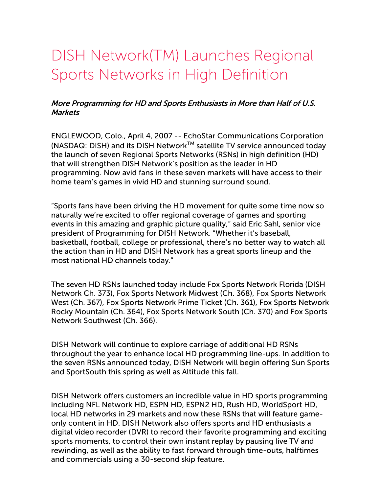## DISH Network(TM) Launches Regional Sports Networks in High Definition

## More Programming for HD and Sports Enthusiasts in More than Half of U.S. **Markets**

ENGLEWOOD, Colo., April 4, 2007 -- EchoStar Communications Corporation (NASDAQ: DISH) and its DISH Network™ satellite TV service announced today the launch of seven Regional Sports Networks (RSNs) in high definition (HD) that will strengthen DISH Network's position as the leader in HD programming. Now avid fans in these seven markets will have access to their home team's games in vivid HD and stunning surround sound.

"Sports fans have been driving the HD movement for quite some time now so naturally we're excited to offer regional coverage of games and sporting events in this amazing and graphic picture quality," said Eric Sahl, senior vice president of Programming for DISH Network. "Whether it's baseball, basketball, football, college or professional, there's no better way to watch all the action than in HD and DISH Network has a great sports lineup and the most national HD channels today."

The seven HD RSNs launched today include Fox Sports Network Florida (DISH Network Ch. 373), Fox Sports Network Midwest (Ch. 368), Fox Sports Network West (Ch. 367), Fox Sports Network Prime Ticket (Ch. 361), Fox Sports Network Rocky Mountain (Ch. 364), Fox Sports Network South (Ch. 370) and Fox Sports Network Southwest (Ch. 366).

DISH Network will continue to explore carriage of additional HD RSNs throughout the year to enhance local HD programming line-ups. In addition to the seven RSNs announced today, DISH Network will begin offering Sun Sports and SportSouth this spring as well as Altitude this fall.

DISH Network offers customers an incredible value in HD sports programming including NFL Network HD, ESPN HD, ESPN2 HD, Rush HD, WorldSport HD, local HD networks in 29 markets and now these RSNs that will feature gameonly content in HD. DISH Network also offers sports and HD enthusiasts a digital video recorder (DVR) to record their favorite programming and exciting sports moments, to control their own instant replay by pausing live TV and rewinding, as well as the ability to fast forward through time-outs, halftimes and commercials using a 30-second skip feature.